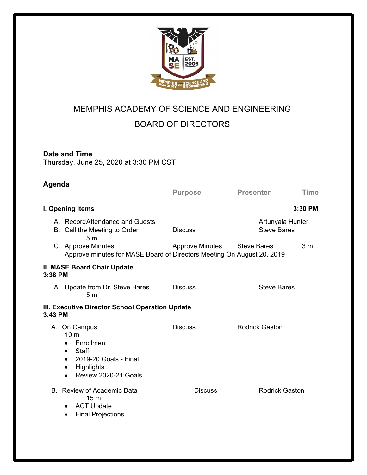

## MEMPHIS ACADEMY OF SCIENCE AND ENGINEERING BOARD OF DIRECTORS

## **Date and Time**

Thursday, June 25, 2020 at 3:30 PM CST

| Agenda           |                                                                                                                                                 | <b>Purpose</b>         | <b>Presenter</b>                       | <b>Time</b>    |
|------------------|-------------------------------------------------------------------------------------------------------------------------------------------------|------------------------|----------------------------------------|----------------|
| I. Opening Items |                                                                                                                                                 |                        |                                        | 3:30 PM        |
|                  | A. RecordAttendance and Guests<br>B. Call the Meeting to Order<br>5 <sub>m</sub>                                                                | <b>Discuss</b>         | Artunyala Hunter<br><b>Steve Bares</b> |                |
|                  | C. Approve Minutes<br>Approve minutes for MASE Board of Directors Meeting On August 20, 2019                                                    | <b>Approve Minutes</b> | <b>Steve Bares</b>                     | 3 <sub>m</sub> |
| 3:38 PM          | <b>II. MASE Board Chair Update</b>                                                                                                              |                        |                                        |                |
|                  | A. Update from Dr. Steve Bares<br>5 <sub>m</sub>                                                                                                | <b>Discuss</b>         | <b>Steve Bares</b>                     |                |
| 3:43 PM          | III. Executive Director School Operation Update                                                                                                 |                        |                                        |                |
|                  | A. On Campus<br>10 <sub>m</sub><br>Enrollment<br>$\bullet$<br>Staff<br>2019-20 Goals - Final<br>$\bullet$<br>Highlights<br>Review 2020-21 Goals | <b>Discuss</b>         | <b>Rodrick Gaston</b>                  |                |
|                  | B. Review of Academic Data<br>15 <sub>m</sub><br><b>ACT Update</b><br><b>Final Projections</b>                                                  | <b>Discuss</b>         | <b>Rodrick Gaston</b>                  |                |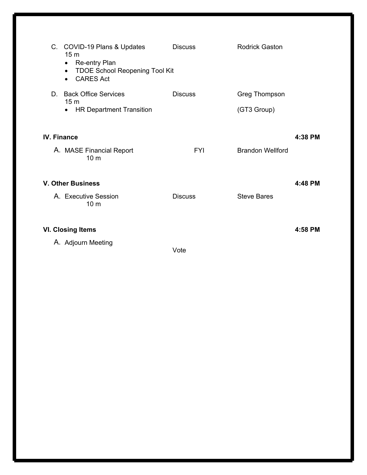|                          | C. COVID-19 Plans & Updates<br>15 <sub>m</sub><br>Re-entry Plan<br>$\bullet$<br><b>TDOE School Reopening Tool Kit</b><br>$\bullet$<br><b>CARES Act</b><br>$\bullet$ | <b>Discuss</b> | Rodrick Gaston               |         |  |
|--------------------------|---------------------------------------------------------------------------------------------------------------------------------------------------------------------|----------------|------------------------------|---------|--|
| D.                       | <b>Back Office Services</b><br>15 <sub>m</sub><br><b>HR Department Transition</b><br>$\bullet$                                                                      | <b>Discuss</b> | Greg Thompson<br>(GT3 Group) |         |  |
| <b>IV. Finance</b>       |                                                                                                                                                                     |                |                              | 4:38 PM |  |
|                          | A. MASE Financial Report<br>10 <sub>m</sub>                                                                                                                         | <b>FYI</b>     | <b>Brandon Wellford</b>      |         |  |
| <b>V. Other Business</b> |                                                                                                                                                                     |                |                              | 4:48 PM |  |
|                          | A. Executive Session<br>10 <sub>m</sub>                                                                                                                             | <b>Discuss</b> | <b>Steve Bares</b>           |         |  |
| <b>VI. Closing Items</b> |                                                                                                                                                                     |                |                              | 4:58 PM |  |
|                          | A. Adjourn Meeting                                                                                                                                                  | Vote           |                              |         |  |